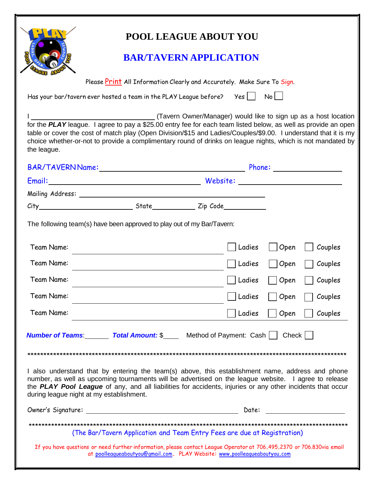| ÷ | ñ. |
|---|----|
| ż |    |
| Ē |    |

## **POOL LEAGUE ABOUT YOU**

## **BAR/TAVERN APPLICATION**

 $\mathsf{No}$ 

Please Print All Information Clearly and Accurately. Make Sure To Sign.

Has your bar/tavern ever hosted a team in the PLAY League before?  $Yes$  |

(Tavern Owner/Manager) would like to sign up as a host location for the PLAY league. I agree to pay a \$25.00 entry fee for each team listed below, as well as provide an open table or cover the cost of match play (Open Division/\$15 and Ladies/Couples/\$9.00. I understand that it is my choice whether-or-not to provide a complimentary round of drinks on league nights, which is not mandated by the league.

|                                                                                                                                                                                                                                                                                                                                                                    |                                                                           |          |        |      | Phone: _________________ |
|--------------------------------------------------------------------------------------------------------------------------------------------------------------------------------------------------------------------------------------------------------------------------------------------------------------------------------------------------------------------|---------------------------------------------------------------------------|----------|--------|------|--------------------------|
|                                                                                                                                                                                                                                                                                                                                                                    |                                                                           | Website: |        |      |                          |
|                                                                                                                                                                                                                                                                                                                                                                    |                                                                           |          |        |      |                          |
|                                                                                                                                                                                                                                                                                                                                                                    |                                                                           |          |        |      |                          |
| The following team(s) have been approved to play out of my Bar/Tavern:                                                                                                                                                                                                                                                                                             |                                                                           |          |        |      |                          |
| Team Name:                                                                                                                                                                                                                                                                                                                                                         |                                                                           |          | Ladies | Open | Couples                  |
| Team Name:                                                                                                                                                                                                                                                                                                                                                         |                                                                           |          | Ladies | Open | Couples                  |
| Team Name:                                                                                                                                                                                                                                                                                                                                                         |                                                                           |          | Ladies | Open | Couples                  |
| Team Name:                                                                                                                                                                                                                                                                                                                                                         |                                                                           |          | Ladies | Open | Couples                  |
| Team Name:                                                                                                                                                                                                                                                                                                                                                         |                                                                           |          | Ladies | Open | Couples                  |
| <b>Number of Teams:</b> Total Amount: \$ Method of Payment: Cash     Check                                                                                                                                                                                                                                                                                         |                                                                           |          |        |      |                          |
|                                                                                                                                                                                                                                                                                                                                                                    |                                                                           |          |        |      |                          |
| I also understand that by entering the team(s) above, this establishment name, address and phone<br>number, as well as upcoming tournaments will be advertised on the league website. I agree to release<br>the PLAY Pool League of any, and all liabilities for accidents, injuries or any other incidents that occur<br>during league night at my establishment. |                                                                           |          |        |      |                          |
| Owner's Signature:                                                                                                                                                                                                                                                                                                                                                 |                                                                           |          | Date:  |      |                          |
|                                                                                                                                                                                                                                                                                                                                                                    | (The Bar/Tavern Application and Team Entry Fees are due at Registration)  |          |        |      |                          |
| If you have questions or need further information, please contact League Operator at 706.495.2370 or 706.830via email                                                                                                                                                                                                                                              | at poolleagueaboutyou@gmail.com. PLAY Website: www.poolleagueaboutyou.com |          |        |      |                          |